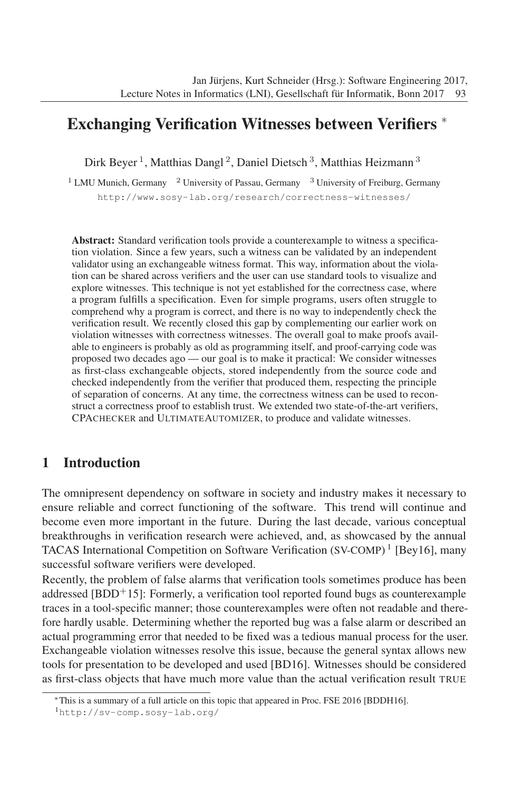## Exchanging Verification Witnesses between Verifiers ∗

Dirk Beyer<sup>1</sup>, Matthias Dangl<sup>2</sup>, Daniel Dietsch<sup>3</sup>, Matthias Heizmann<sup>3</sup>

<sup>1</sup> LMU Munich, Germany <sup>2</sup> University of Passau, Germany <sup>3</sup> University of Freiburg, Germany http://www.sosy-lab.org/research/correctness-witnesses/

Abstract: Standard verification tools provide a counterexample to witness a specification violation. Since a few years, such a witness can be validated by an independent validator using an exchangeable witness format. This way, information about the violation can be shared across verifiers and the user can use standard tools to visualize and explore witnesses. This technique is not yet established for the correctness case, where a program fulfills a specification. Even for simple programs, users often struggle to comprehend why a program is correct, and there is no way to independently check the verification result. We recently closed this gap by complementing our earlier work on violation witnesses with correctness witnesses. The overall goal to make proofs available to engineers is probably as old as programming itself, and proof-carrying code was proposed two decades ago — our goal is to make it practical: We consider witnesses as first-class exchangeable objects, stored independently from the source code and checked independently from the verifier that produced them, respecting the principle of separation of concerns. At any time, the correctness witness can be used to reconstruct a correctness proof to establish trust. We extended two state-of-the-art verifiers, CPACHECKER and ULTIMATEAUTOMIZER, to produce and validate witnesses.

## 1 Introduction

The omnipresent dependency on software in society and industry makes it necessary to ensure reliable and correct functioning of the software. This trend will continue and become even more important in the future. During the last decade, various conceptual breakthroughs in verification research were achieved, and, as showcased by the annual TACAS International Competition on Software Verification (SV-COMP) <sup>1</sup> [Bey16], many successful software verifiers were developed.

Recently, the problem of false alarms that verification tools sometimes produce has been addressed  $[BDD+15]$ : Formerly, a verification tool reported found bugs as counterexample traces in a tool-specific manner; those counterexamples were often not readable and therefore hardly usable. Determining whether the reported bug was a false alarm or described an actual programming error that needed to be fixed wasatedious manual process for the user. Exchangeable violation witnesses resolve this issue, because the general syntax allows new tools for presentation to be developed and used [BD16]. Witnesses should be considered as first-class objects that have much more value than the actual verification result TRUE

<sup>∗</sup>This is a summary of a full article on this topic that appeared in Proc. FSE 2016 [BDDH16].

<sup>1</sup>http://sv-comp.sosy-lab.org/